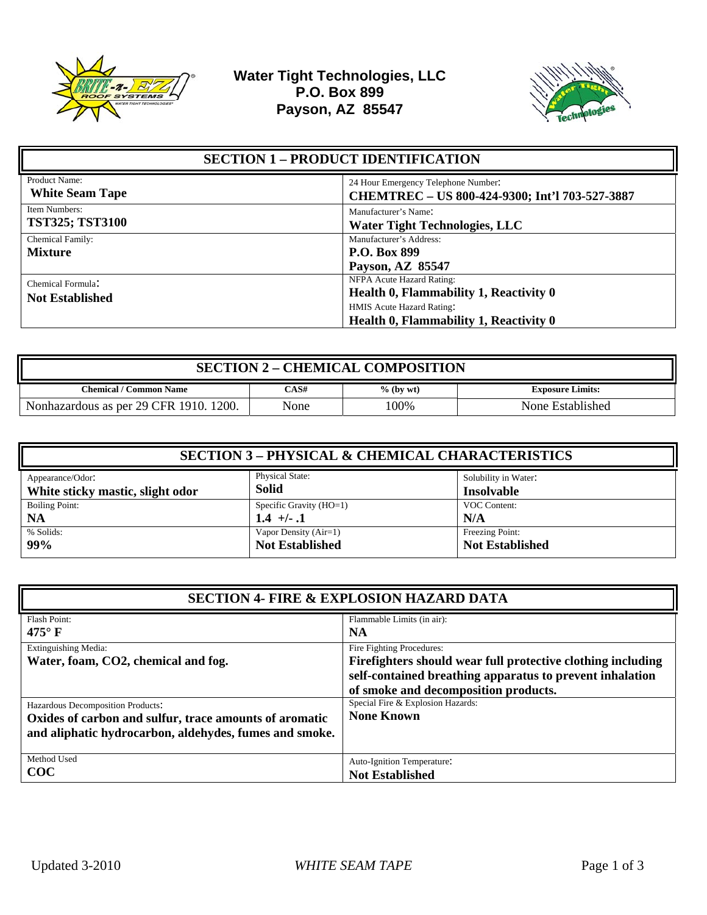



| <b>SECTION 1 - PRODUCT IDENTIFICATION</b>   |                                                                                                                                            |
|---------------------------------------------|--------------------------------------------------------------------------------------------------------------------------------------------|
| Product Name:<br><b>White Seam Tape</b>     | 24 Hour Emergency Telephone Number:<br>CHEMTREC - US 800-424-9300; Int'l 703-527-3887                                                      |
| Item Numbers:<br><b>TST325; TST3100</b>     | Manufacturer's Name:<br><b>Water Tight Technologies, LLC</b>                                                                               |
| Chemical Family:<br><b>Mixture</b>          | Manufacturer's Address:<br><b>P.O. Box 899</b><br>Payson, AZ 85547                                                                         |
| Chemical Formula:<br><b>Not Established</b> | NFPA Acute Hazard Rating:<br>Health 0, Flammability 1, Reactivity 0<br>HMIS Acute Hazard Rating:<br>Health 0, Flammability 1, Reactivity 0 |

| <b>SECTION 2 - CHEMICAL COMPOSITION</b> |      |              |                         |
|-----------------------------------------|------|--------------|-------------------------|
| Chemical / Common Name                  | CAS# | $\%$ (by wt) | <b>Exposure Limits:</b> |
| Nonhazardous as per 29 CFR 1910. 1200.  | None | 100%         | None Established        |

| <b>SECTION 3 – PHYSICAL &amp; CHEMICAL CHARACTERISTICS</b> |                                        |                                           |
|------------------------------------------------------------|----------------------------------------|-------------------------------------------|
| Appearance/Odor:<br>White sticky mastic, slight odor       | <b>Physical State:</b><br><b>Solid</b> | Solubility in Water:<br><b>Insolvable</b> |
| <b>Boiling Point:</b>                                      | Specific Gravity $(HO=1)$              | VOC Content:                              |
| <b>NA</b>                                                  | $1.4 +/- 1$                            | N/A                                       |
| % Solids:                                                  | Vapor Density (Air=1)                  | Freezing Point:                           |
| 99%                                                        | <b>Not Established</b>                 | <b>Not Established</b>                    |

| <b>SECTION 4- FIRE &amp; EXPLOSION HAZARD DATA</b>                                                                                                    |                                                                                                                                                                                              |
|-------------------------------------------------------------------------------------------------------------------------------------------------------|----------------------------------------------------------------------------------------------------------------------------------------------------------------------------------------------|
| <b>Flash Point:</b><br>475 $\mathrm{^{\circ}F}$                                                                                                       | Flammable Limits (in air):<br><b>NA</b>                                                                                                                                                      |
| <b>Extinguishing Media:</b><br>Water, foam, CO2, chemical and fog.                                                                                    | Fire Fighting Procedures:<br>Firefighters should wear full protective clothing including<br>self-contained breathing apparatus to prevent inhalation<br>of smoke and decomposition products. |
| Hazardous Decomposition Products:<br>Oxides of carbon and sulfur, trace amounts of aromatic<br>and aliphatic hydrocarbon, aldehydes, fumes and smoke. | Special Fire & Explosion Hazards:<br><b>None Known</b>                                                                                                                                       |
| Method Used<br>$\bf COC$                                                                                                                              | Auto-Ignition Temperature:<br><b>Not Established</b>                                                                                                                                         |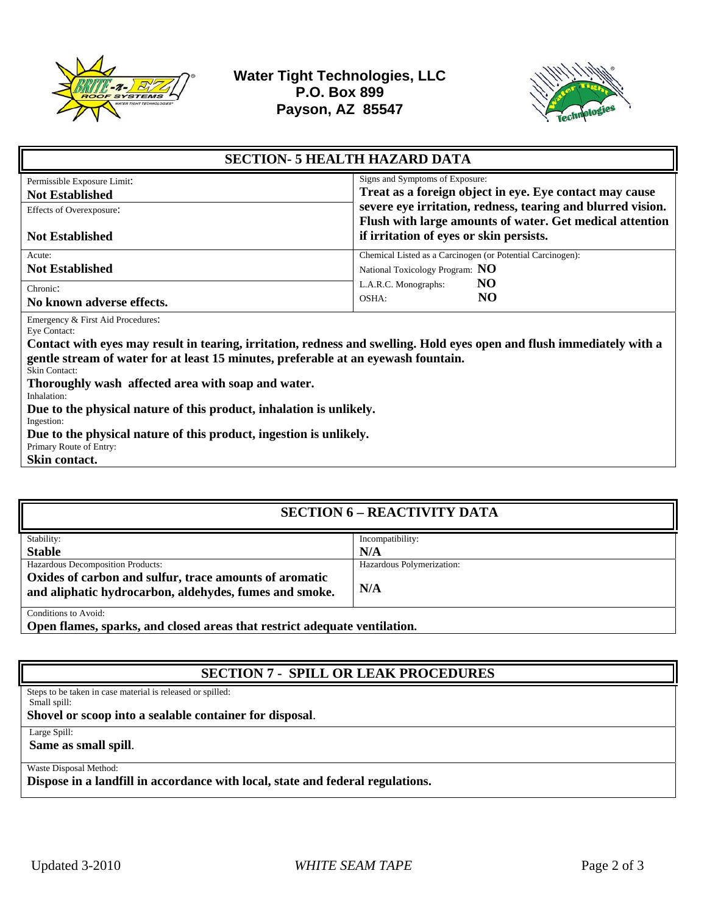



| <b>SECTION- 5 HEALTH HAZARD DATA</b>                                                                                   |                                                             |  |
|------------------------------------------------------------------------------------------------------------------------|-------------------------------------------------------------|--|
| Permissible Exposure Limit:                                                                                            | Signs and Symptoms of Exposure:                             |  |
| <b>Not Established</b>                                                                                                 | Treat as a foreign object in eye. Eye contact may cause     |  |
| Effects of Overexposure:                                                                                               | severe eye irritation, redness, tearing and blurred vision. |  |
|                                                                                                                        | Flush with large amounts of water. Get medical attention    |  |
| <b>Not Established</b>                                                                                                 | if irritation of eyes or skin persists.                     |  |
| Acute:                                                                                                                 | Chemical Listed as a Carcinogen (or Potential Carcinogen):  |  |
| <b>Not Established</b>                                                                                                 | National Toxicology Program: NO                             |  |
| Chronic:                                                                                                               | NO.<br>L.A.R.C. Monographs:                                 |  |
| No known adverse effects.                                                                                              | NO.<br>OSHA:                                                |  |
| Emergency & First Aid Procedures:                                                                                      |                                                             |  |
| Eye Contact:                                                                                                           |                                                             |  |
| Contact with eyes may result in tearing, irritation, redness and swelling. Hold eyes open and flush immediately with a |                                                             |  |
| gentle stream of water for at least 15 minutes, preferable at an eyewash fountain.                                     |                                                             |  |
| Skin Contact:                                                                                                          |                                                             |  |
| Thoroughly wash affected area with soap and water.<br>Inhalation:                                                      |                                                             |  |
| Due to the physical nature of this product, inhalation is unlikely.                                                    |                                                             |  |
| Ingestion:                                                                                                             |                                                             |  |
| Due to the physical nature of this product, ingestion is unlikely.                                                     |                                                             |  |
| Primary Route of Entry:                                                                                                |                                                             |  |
| Skin contact.                                                                                                          |                                                             |  |
|                                                                                                                        |                                                             |  |

| <b>SECTION 6 - REACTIVITY DATA</b>                                        |                           |  |
|---------------------------------------------------------------------------|---------------------------|--|
| Stability:                                                                | Incompatibility:          |  |
| <b>Stable</b>                                                             | N/A                       |  |
| Hazardous Decomposition Products:                                         | Hazardous Polymerization: |  |
| Oxides of carbon and sulfur, trace amounts of aromatic                    |                           |  |
| and aliphatic hydrocarbon, aldehydes, fumes and smoke.                    | N/A                       |  |
| Conditions to Avoid:                                                      |                           |  |
| Open flames, sparks, and closed areas that restrict adequate ventilation. |                           |  |

**SECTION 7 - SPILL OR LEAK PROCEDURES** 

Steps to be taken in case material is released or spilled: Small spill:

**Shovel or scoop into a sealable container for disposal**.

Large Spill:

**Same as small spill**.

Waste Disposal Method:

**Dispose in a landfill in accordance with local, state and federal regulations.**